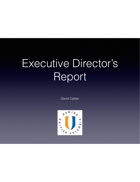# Executive Director's Report

David Calder

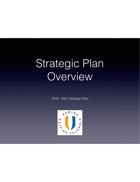# Strategic Plan **Overview**

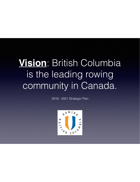# **Vision**: British Columbia is the leading rowing community in Canada.

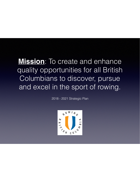# **Mission**: To create and enhance quality opportunities for all British Columbians to discover, pursue and excel in the sport of rowing.

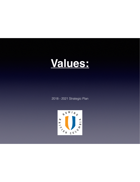# **Values:**

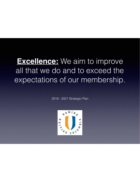# **Excellence:** We aim to improve all that we do and to exceed the expectations of our membership.

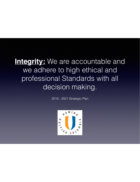# **Integrity:** We are accountable and we adhere to high ethical and professional Standards with all decision making.

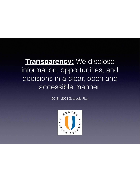# **Transparency:** We disclose information, opportunities, and decisions in a clear, open and accessible manner.

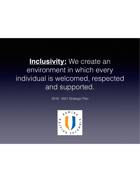# **Inclusivity:** We create an environment in which every individual is welcomed, respected and supported.

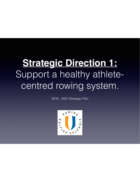# **Strategic Direction 1:** Support a healthy athletecentred rowing system.

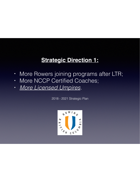- **•** More Rowers joining programs after LTR;
- **•** More NCCP Certified Coaches;
- **•** *More Licensed Umpires.*

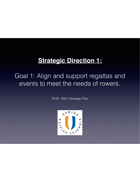#### Goal 1: Align and support regattas and events to meet the needs of rowers.

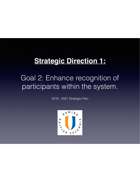### Goal 2: Enhance recognition of participants within the system.

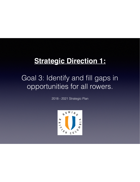### Goal 3: Identify and fill gaps in opportunities for all rowers.

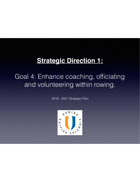### Goal 4: Enhance coaching, officiating and volunteering within rowing.

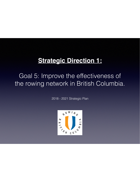#### Goal 5: Improve the effectiveness of the rowing network in British Columbia.

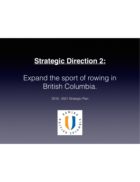### Expand the sport of rowing in British Columbia.

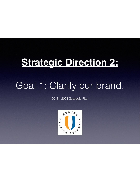# Goal 1: Clarify our brand.

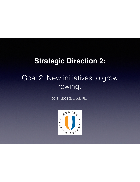# Goal 2: New initiatives to grow rowing.

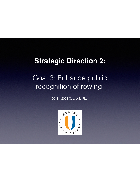# Goal 3: Enhance public recognition of rowing.

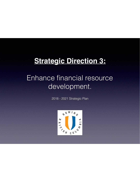### Enhance financial resource development.

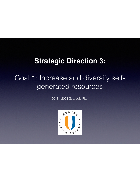# Goal 1: Increase and diversify selfgenerated resources

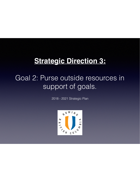### Goal 2: Purse outside resources in support of goals.

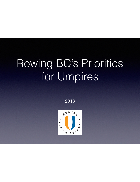# Rowing BC's Priorities for Umpires

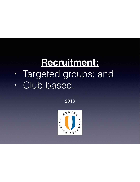# **Recruitment:**

- **•** Targeted groups; and
- **•** Club based.

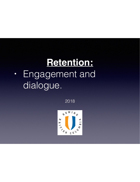# **Retention:**

**•** Engagement and dialogue.

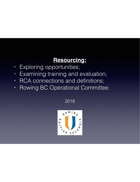#### **Resourcing:**

- **•** Exploring opportunities;
- **•** Examining training and evaluation;
- **•** RCA connections and definitions;
- **•** Rowing BC Operational Committee.

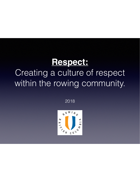# **Respect:**

# Creating a culture of respect within the rowing community.